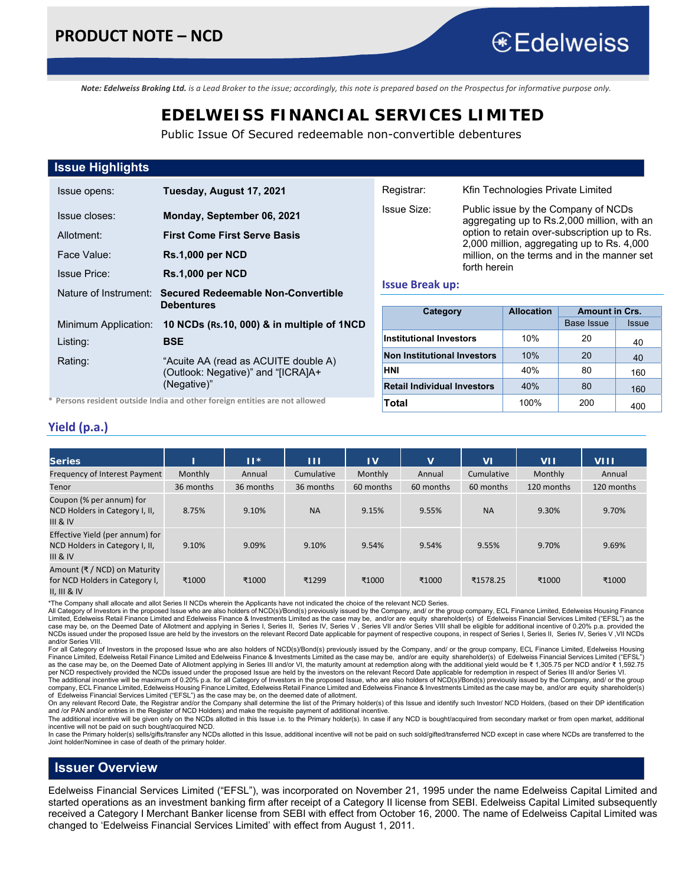aggregating up to Rs.2,000 million, with an option to retain over-subscription up to Rs. 2,000 million, aggregating up to Rs. 4,000 million, on the terms and in the manner set

*Note: Edelweiss Broking Ltd. is a Lead Broker to the issue; accordingly, this note is prepared based on the Prospectus for informative purpose only.* 

## **EDELWEISS FINANCIAL SERVICES LIMITED**

Public Issue Of Secured redeemable non-convertible debentures

### **Issue Highlights**

| Issue opens:          | Tuesday, August 17, 2021                                                                  |
|-----------------------|-------------------------------------------------------------------------------------------|
| Issue closes:         | Monday, September 06, 2021                                                                |
| Allotment:            | <b>First Come First Serve Basis</b>                                                       |
| Face Value:           | <b>Rs.1,000 per NCD</b>                                                                   |
| <b>Issue Price:</b>   | <b>Rs.1,000 per NCD</b>                                                                   |
| Nature of Instrument: | <b>Secured Redeemable Non-Convertible</b><br>Debentures                                   |
| Minimum Application:  | 10 NCDs (Rs.10, 000) & in multiple of 1NCD                                                |
| Listing:              | <b>BSE</b>                                                                                |
| Rating:               | "Acuite AA (read as ACUITE double A)<br>(Outlook: Negative)" and "[ICRA]A+<br>(Negative)" |

**\* Persons resident outside India and other foreign entities are not allowed** 

| forth herein                                           |      |                   |       |  |  |  |
|--------------------------------------------------------|------|-------------------|-------|--|--|--|
| <b>Issue Break up:</b>                                 |      |                   |       |  |  |  |
| <b>Amount in Crs.</b><br><b>Allocation</b><br>Category |      |                   |       |  |  |  |
|                                                        |      | <b>Base Issue</b> | Issue |  |  |  |
| <b>Institutional Investors</b>                         | 10%  | 20                | 40    |  |  |  |
| <b>Non Institutional Investors</b>                     | 10%  | 20                | 40    |  |  |  |
| HNI                                                    | 40%  | 80                | 160   |  |  |  |
| <b>Retail Individual Investors</b>                     | 40%  | 80                | 160   |  |  |  |
| Total                                                  | 100% | 200               | 400   |  |  |  |

Registrar: Kfin Technologies Private Limited Issue Size: Public issue by the Company of NCDs

#### **Yield (p.a.)**

| <b>Series</b>                                                                        |           | $11*$     | ш          | $\mathbf{I}$ | $\mathbf{v}$ | M          | <b>VII</b> | <b>VIII</b> |
|--------------------------------------------------------------------------------------|-----------|-----------|------------|--------------|--------------|------------|------------|-------------|
| Frequency of Interest Payment                                                        | Monthly   | Annual    | Cumulative | Monthly      | Annual       | Cumulative | Monthly    | Annual      |
| Tenor                                                                                | 36 months | 36 months | 36 months  | 60 months    | 60 months    | 60 months  | 120 months | 120 months  |
| Coupon (% per annum) for<br>NCD Holders in Category I, II,<br>$III$ & IV             | 8.75%     | 9.10%     | <b>NA</b>  | 9.15%        | 9.55%        | <b>NA</b>  | 9.30%      | 9.70%       |
| Effective Yield (per annum) for<br>NCD Holders in Category I, II,<br><b>III</b> & IV | 9.10%     | 9.09%     | 9.10%      | 9.54%        | 9.54%        | 9.55%      | 9.70%      | 9.69%       |
| Amount (₹ / NCD) on Maturity<br>for NCD Holders in Category I,<br>II. III & IV       | ₹1000     | ₹1000     | ₹1299      | ₹1000        | ₹1000        | ₹1578.25   | ₹1000      | ₹1000       |

\*The Company shall allocate and allot Series II NCDs wherein the Applicants have not indicated the choice of the relevant NCD Series.

All Category of Investors in the proposed Issue who are also holders of NCD(s)/Bond(s) previously issued by the Company, and/ or the group company, ECL Finance Limited, Edelweiss Housing Finance Limited, Edelweiss Retail Finance Limited and Edelweiss Finance & Investments Limited as the case may be, and/or are equity shareholder(s) of Edelweiss Financial Services Limited ("EFSL") as the<br>case may be, on the Dee NCDs issued under the proposed Issue are held by the investors on the relevant Record Date applicable for payment of respective coupons, in respect of Series I, Series II, Series IV, Series V, VII NCDs and/or Series VIII.

For all Category of Investors in the proposed Issue who are also holders of NCD(s)/Bond(s) previously issued by the Company, and/ or the group company, ECL Finance Limited, Edelweiss Housing Finance Limited, Edelweiss Retail Finance Limited and Edelweiss Finance & Investments Limited as the case may be, and/or are equity shareholder(s) of Edelweiss Financial Services Limited ("EFSL")<br>as the case may be, on th per NCD respectively provided the NCDs issued under the proposed Issue are held by the investors on the relevant Record Date applicable for redemption in respect of Series III and/or Series VI.

The additional incentive will be maximum of 0.20% p.a. for all Category of Investors in the proposed Issue, who are also holders of NCD(s)/Bond(s) previously issued by the Company, and/ or the group<br>company, ECL Finance Li of Edelweiss Financial Services Limited ("EFSL") as the case may be, on the deemed date of allotment.<br>On any relevant Record Date, the Registrar and/or the Company shall determine the list of the Primary holder(s) of this

and /or PAN and/or entries in the Register of NCD Holders) and make the requisite payment of additional incentive.

The additional incentive will be given only on the NCDs allotted in this Issue i.e. to the Primary holder(s). In case if any NCD is bought/acquired from secondary market or from open market, additional incentive will not be paid on such bought/acquired NCD.

In case the Primary holder(s) sells/gifts/transfer any NCDs allotted in this Issue, additional incentive will not be paid on such sold/gifted/transferred NCD except in case where NCDs are transferred to the<br>Joint holder/No

#### **Issuer Overview**

Edelweiss Financial Services Limited ("EFSL"), was incorporated on November 21, 1995 under the name Edelweiss Capital Limited and started operations as an investment banking firm after receipt of a Category II license from SEBI. Edelweiss Capital Limited subsequently received a Category I Merchant Banker license from SEBI with effect from October 16, 2000. The name of Edelweiss Capital Limited was changed to 'Edelweiss Financial Services Limited' with effect from August 1, 2011.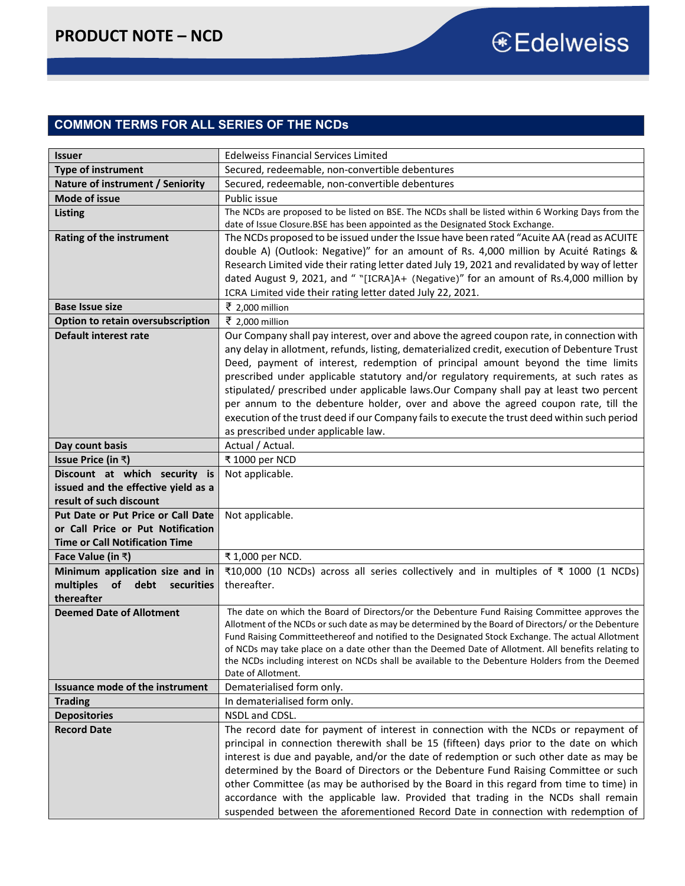### **COMMON TERMS FOR ALL SERIES OF THE NCDs**

| <b>Issuer</b>                         | <b>Edelweiss Financial Services Limited</b>                                                                                                                                                           |
|---------------------------------------|-------------------------------------------------------------------------------------------------------------------------------------------------------------------------------------------------------|
| <b>Type of instrument</b>             | Secured, redeemable, non-convertible debentures                                                                                                                                                       |
| Nature of instrument / Seniority      | Secured, redeemable, non-convertible debentures                                                                                                                                                       |
| <b>Mode of issue</b>                  | Public issue                                                                                                                                                                                          |
| <b>Listing</b>                        | The NCDs are proposed to be listed on BSE. The NCDs shall be listed within 6 Working Days from the                                                                                                    |
|                                       | date of Issue Closure. BSE has been appointed as the Designated Stock Exchange.                                                                                                                       |
| <b>Rating of the instrument</b>       | The NCDs proposed to be issued under the Issue have been rated "Acuite AA (read as ACUITE                                                                                                             |
|                                       | double A) (Outlook: Negative)" for an amount of Rs. 4,000 million by Acuité Ratings &                                                                                                                 |
|                                       | Research Limited vide their rating letter dated July 19, 2021 and revalidated by way of letter                                                                                                        |
|                                       | dated August 9, 2021, and " "[ICRA]A+ (Negative)" for an amount of Rs.4,000 million by                                                                                                                |
|                                       | ICRA Limited vide their rating letter dated July 22, 2021.                                                                                                                                            |
| <b>Base Issue size</b>                | ₹ 2,000 million                                                                                                                                                                                       |
| Option to retain oversubscription     | ₹ 2,000 million                                                                                                                                                                                       |
| Default interest rate                 | Our Company shall pay interest, over and above the agreed coupon rate, in connection with                                                                                                             |
|                                       | any delay in allotment, refunds, listing, dematerialized credit, execution of Debenture Trust                                                                                                         |
|                                       | Deed, payment of interest, redemption of principal amount beyond the time limits                                                                                                                      |
|                                       | prescribed under applicable statutory and/or regulatory requirements, at such rates as                                                                                                                |
|                                       | stipulated/ prescribed under applicable laws.Our Company shall pay at least two percent                                                                                                               |
|                                       | per annum to the debenture holder, over and above the agreed coupon rate, till the<br>execution of the trust deed if our Company fails to execute the trust deed within such period                   |
|                                       | as prescribed under applicable law.                                                                                                                                                                   |
| Day count basis                       | Actual / Actual.                                                                                                                                                                                      |
| <b>Issue Price (in ₹)</b>             | ₹ 1000 per NCD                                                                                                                                                                                        |
| Discount at which security is         | Not applicable.                                                                                                                                                                                       |
| issued and the effective yield as a   |                                                                                                                                                                                                       |
| result of such discount               |                                                                                                                                                                                                       |
| Put Date or Put Price or Call Date    | Not applicable.                                                                                                                                                                                       |
| or Call Price or Put Notification     |                                                                                                                                                                                                       |
| <b>Time or Call Notification Time</b> |                                                                                                                                                                                                       |
| Face Value (in $\bar{x}$ )            | ₹ 1,000 per NCD.                                                                                                                                                                                      |
| Minimum application size and in       | ₹10,000 (10 NCDs) across all series collectively and in multiples of ₹ 1000 (1 NCDs)                                                                                                                  |
| multiples<br>of debt securities       | thereafter.                                                                                                                                                                                           |
| thereafter                            |                                                                                                                                                                                                       |
| <b>Deemed Date of Allotment</b>       | The date on which the Board of Directors/or the Debenture Fund Raising Committee approves the                                                                                                         |
|                                       | Allotment of the NCDs or such date as may be determined by the Board of Directors/ or the Debenture                                                                                                   |
|                                       | Fund Raising Committeethereof and notified to the Designated Stock Exchange. The actual Allotment                                                                                                     |
|                                       | of NCDs may take place on a date other than the Deemed Date of Allotment. All benefits relating to<br>the NCDs including interest on NCDs shall be available to the Debenture Holders from the Deemed |
|                                       | Date of Allotment.                                                                                                                                                                                    |
| Issuance mode of the instrument       | Dematerialised form only.                                                                                                                                                                             |
| <b>Trading</b>                        | In dematerialised form only.                                                                                                                                                                          |
| <b>Depositories</b>                   | NSDL and CDSL.                                                                                                                                                                                        |
| <b>Record Date</b>                    | The record date for payment of interest in connection with the NCDs or repayment of                                                                                                                   |
|                                       | principal in connection therewith shall be 15 (fifteen) days prior to the date on which                                                                                                               |
|                                       | interest is due and payable, and/or the date of redemption or such other date as may be                                                                                                               |
|                                       | determined by the Board of Directors or the Debenture Fund Raising Committee or such                                                                                                                  |
|                                       | other Committee (as may be authorised by the Board in this regard from time to time) in                                                                                                               |
|                                       | accordance with the applicable law. Provided that trading in the NCDs shall remain                                                                                                                    |
|                                       | suspended between the aforementioned Record Date in connection with redemption of                                                                                                                     |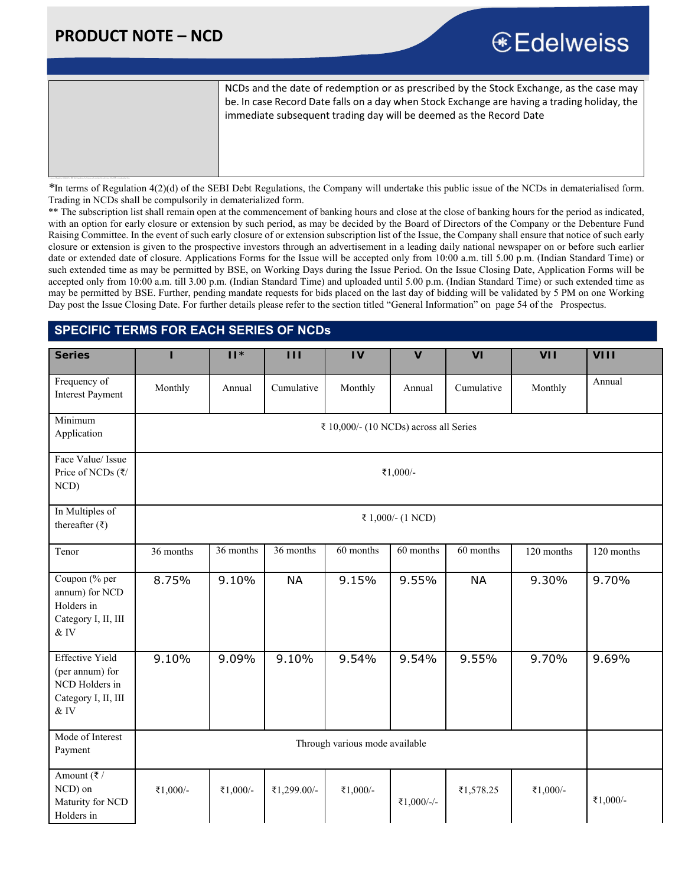## **PRODUCT NOTE – NCD**

## € Edelweiss

NCDs and the date of redemption or as prescribed by the Stock Exchange, as the case may be. In case Record Date falls on a day when Stock Exchange are having a trading holiday, the immediate subsequent trading day will be deemed as the Record Date

*\**In terms of Regulation 4(2)(d) of the SEBI Debt Regulations, the Company will undertake this public issue of the NCDs in dematerialised form. Trading in NCDs shall be compulsorily in dematerialized form.

\*\* The subscription list shall remain open at the commencement of banking hours and close at the close of banking hours for the period as indicated, with an option for early closure or extension by such period, as may be decided by the Board of Directors of the Company or the Debenture Fund Raising Committee. In the event of such early closure of or extension subscription list of the Issue, the Company shall ensure that notice of such early closure or extension is given to the prospective investors through an advertisement in a leading daily national newspaper on or before such earlier date or extended date of closure. Applications Forms for the Issue will be accepted only from 10:00 a.m. till 5.00 p.m. (Indian Standard Time) or such extended time as may be permitted by BSE, on Working Days during the Issue Period. On the Issue Closing Date, Application Forms will be accepted only from 10:00 a.m. till 3.00 p.m. (Indian Standard Time) and uploaded until 5.00 p.m. (Indian Standard Time) or such extended time as may be permitted by BSE. Further, pending mandate requests for bids placed on the last day of bidding will be validated by 5 PM on one Working Day post the Issue Closing Date. For further details please refer to the section titled "General Information" on page 54 of the Prospectus.

### **SPECIFIC TERMS FOR EACH SERIES OF NCDs**

| <b>Series</b>                                                                                 | П         | $  $ *                                 | Ш           | IV                             | $\mathbf{V}$      | <b>VI</b>  | <b>VII</b> | VIII       |
|-----------------------------------------------------------------------------------------------|-----------|----------------------------------------|-------------|--------------------------------|-------------------|------------|------------|------------|
| Frequency of<br><b>Interest Payment</b>                                                       | Monthly   | Annual                                 | Cumulative  | Monthly                        | Annual            | Cumulative | Monthly    | Annual     |
| Minimum<br>Application                                                                        |           | ₹ 10,000/- (10 NCDs) across all Series |             |                                |                   |            |            |            |
| Face Value/ Issue<br>Price of NCDs (₹/<br>NCD)                                                |           | ₹1,000/-                               |             |                                |                   |            |            |            |
| In Multiples of<br>thereafter $(\bar{\tau})$                                                  |           |                                        |             |                                | ₹ 1,000/- (1 NCD) |            |            |            |
| Tenor                                                                                         | 36 months | $\overline{36}$ months                 | 36 months   | 60 months                      | 60 months         | 60 months  | 120 months | 120 months |
| Coupon (% per<br>annum) for NCD<br>Holders in<br>Category I, II, III<br>$\&$ IV               | 8.75%     | 9.10%                                  | <b>NA</b>   | 9.15%                          | 9.55%             | <b>NA</b>  | 9.30%      | 9.70%      |
| <b>Effective Yield</b><br>(per annum) for<br>NCD Holders in<br>Category I, II, III<br>$\&$ IV | 9.10%     | 9.09%                                  | 9.10%       | 9.54%                          | 9.54%             | 9.55%      | 9.70%      | 9.69%      |
| Mode of Interest<br>Payment                                                                   |           |                                        |             | Through various mode available |                   |            |            |            |
| Amount ( $\bar{\tau}$ /<br>NCD) on<br>Maturity for NCD<br>Holders in                          | ₹1,000/-  | ₹1,000/-                               | ₹1,299.00/- | ₹1,000/-                       | ₹1,000/-/-        | ₹1,578.25  | ₹1,000/-   | ₹1,000/-   |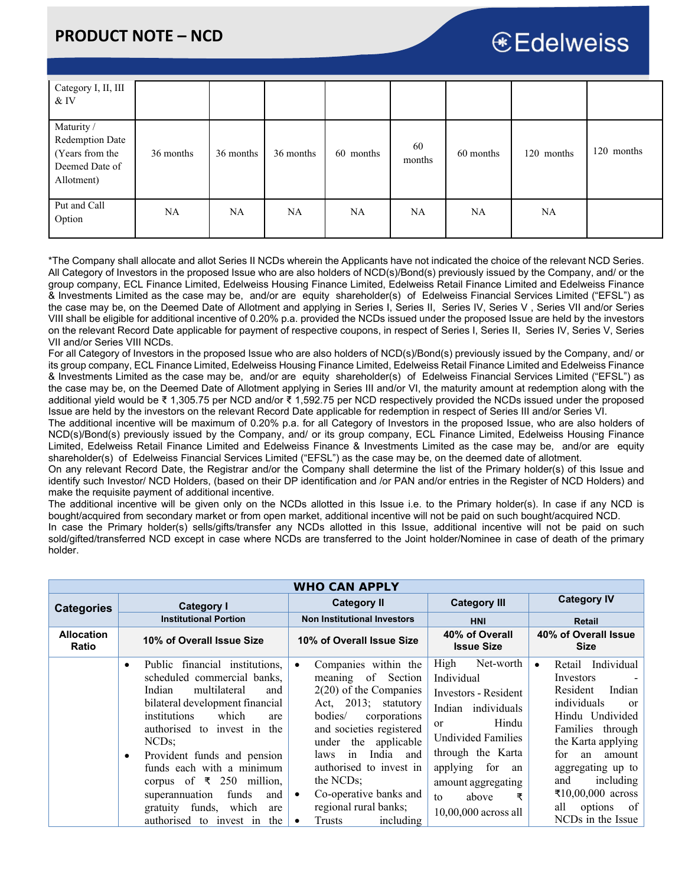## € Edelweiss

| Category I, II, III<br>$&$ IV                                                           |           |           |           |           |              |           |            |            |
|-----------------------------------------------------------------------------------------|-----------|-----------|-----------|-----------|--------------|-----------|------------|------------|
| Maturity /<br><b>Redemption Date</b><br>(Years from the<br>Deemed Date of<br>Allotment) | 36 months | 36 months | 36 months | 60 months | 60<br>months | 60 months | 120 months | 120 months |
| Put and Call<br>Option                                                                  | <b>NA</b> | NA        | NA        | NA        | <b>NA</b>    | NA        | <b>NA</b>  |            |

\*The Company shall allocate and allot Series II NCDs wherein the Applicants have not indicated the choice of the relevant NCD Series. All Category of Investors in the proposed Issue who are also holders of NCD(s)/Bond(s) previously issued by the Company, and/ or the group company, ECL Finance Limited, Edelweiss Housing Finance Limited, Edelweiss Retail Finance Limited and Edelweiss Finance & Investments Limited as the case may be, and/or are equity shareholder(s) of Edelweiss Financial Services Limited ("EFSL") as the case may be, on the Deemed Date of Allotment and applying in Series I, Series II, Series IV, Series V , Series VII and/or Series VIII shall be eligible for additional incentive of 0.20% p.a. provided the NCDs issued under the proposed Issue are held by the investors on the relevant Record Date applicable for payment of respective coupons, in respect of Series I, Series II, Series IV, Series V, Series VII and/or Series VIII NCDs.

For all Category of Investors in the proposed Issue who are also holders of NCD(s)/Bond(s) previously issued by the Company, and/ or its group company, ECL Finance Limited, Edelweiss Housing Finance Limited, Edelweiss Retail Finance Limited and Edelweiss Finance & Investments Limited as the case may be, and/or are equity shareholder(s) of Edelweiss Financial Services Limited ("EFSL") as the case may be, on the Deemed Date of Allotment applying in Series III and/or VI, the maturity amount at redemption along with the additional yield would be ₹ 1,305.75 per NCD and/or ₹ 1,592.75 per NCD respectively provided the NCDs issued under the proposed Issue are held by the investors on the relevant Record Date applicable for redemption in respect of Series III and/or Series VI.

The additional incentive will be maximum of 0.20% p.a. for all Category of Investors in the proposed Issue, who are also holders of NCD(s)/Bond(s) previously issued by the Company, and/ or its group company, ECL Finance Limited, Edelweiss Housing Finance Limited, Edelweiss Retail Finance Limited and Edelweiss Finance & Investments Limited as the case may be, and/or are equity shareholder(s) of Edelweiss Financial Services Limited ("EFSL") as the case may be, on the deemed date of allotment.

On any relevant Record Date, the Registrar and/or the Company shall determine the list of the Primary holder(s) of this Issue and identify such Investor/ NCD Holders, (based on their DP identification and /or PAN and/or entries in the Register of NCD Holders) and make the requisite payment of additional incentive.

The additional incentive will be given only on the NCDs allotted in this Issue i.e. to the Primary holder(s). In case if any NCD is bought/acquired from secondary market or from open market, additional incentive will not be paid on such bought/acquired NCD.

In case the Primary holder(s) sells/gifts/transfer any NCDs allotted in this Issue, additional incentive will not be paid on such sold/gifted/transferred NCD except in case where NCDs are transferred to the Joint holder/Nominee in case of death of the primary holder.

|                            |                                                                                                                                                                                                                                                                                                                                                                                                                                                                | <b>WHO CAN APPLY</b>                                                                                                                                                                                                                                                                                                                                                           |                                                                                                                                                                                                                                                        |                                                                                                                                                                                                                                                                                       |
|----------------------------|----------------------------------------------------------------------------------------------------------------------------------------------------------------------------------------------------------------------------------------------------------------------------------------------------------------------------------------------------------------------------------------------------------------------------------------------------------------|--------------------------------------------------------------------------------------------------------------------------------------------------------------------------------------------------------------------------------------------------------------------------------------------------------------------------------------------------------------------------------|--------------------------------------------------------------------------------------------------------------------------------------------------------------------------------------------------------------------------------------------------------|---------------------------------------------------------------------------------------------------------------------------------------------------------------------------------------------------------------------------------------------------------------------------------------|
| <b>Categories</b>          | <b>Category I</b>                                                                                                                                                                                                                                                                                                                                                                                                                                              | <b>Category II</b>                                                                                                                                                                                                                                                                                                                                                             | <b>Category III</b>                                                                                                                                                                                                                                    | <b>Category IV</b>                                                                                                                                                                                                                                                                    |
|                            | <b>Institutional Portion</b>                                                                                                                                                                                                                                                                                                                                                                                                                                   | <b>Non Institutional Investors</b>                                                                                                                                                                                                                                                                                                                                             | <b>HNI</b>                                                                                                                                                                                                                                             | <b>Retail</b>                                                                                                                                                                                                                                                                         |
| <b>Allocation</b><br>Ratio | 10% of Overall Issue Size                                                                                                                                                                                                                                                                                                                                                                                                                                      | 10% of Overall Issue Size                                                                                                                                                                                                                                                                                                                                                      | 40% of Overall<br><b>Issue Size</b>                                                                                                                                                                                                                    | 40% of Overall Issue<br><b>Size</b>                                                                                                                                                                                                                                                   |
|                            | Public financial institutions,<br>$\bullet$<br>scheduled commercial banks.<br>Indian<br>multilateral<br>and<br>bilateral development financial<br>institutions<br>which<br>are<br>authorised to invest in the<br>NCD <sub>s</sub> :<br>Provident funds and pension<br>$\bullet$<br>funds each with a minimum<br>corpus of $\overline{\xi}$ 250 million,<br>funds<br>superannuation<br>and<br>gratuity funds,<br>which<br>are<br>authorised to invest in<br>the | Companies within the<br>$\bullet$<br>meaning of Section<br>$2(20)$ of the Companies<br>Act, 2013; statutory<br>bodies/<br>corporations<br>and societies registered<br>under the applicable<br>India and<br>in<br>laws<br>authorised to invest in<br>the NCD <sub>s</sub> ;<br>Co-operative banks and<br>$\bullet$<br>regional rural banks;<br>including<br>Trusts<br>$\bullet$ | High<br>Net-worth<br>Individual<br>Investors - Resident<br>Indian individuals<br>Hindu<br><sub>or</sub><br><b>Undivided Families</b><br>through the Karta<br>for<br>applying<br>an<br>amount aggregating<br>above<br>₹<br>to<br>$10,00,000$ across all | Retail Individual<br>$\bullet$<br>Investors<br>Indian<br>Resident<br>individuals<br>or<br>Hindu Undivided<br>Families through<br>the Karta applying<br>for<br>amount<br>an<br>aggregating up to<br>including<br>and<br>₹10,00,000 across<br>all<br>options<br>of<br>NCDs in the Issue |